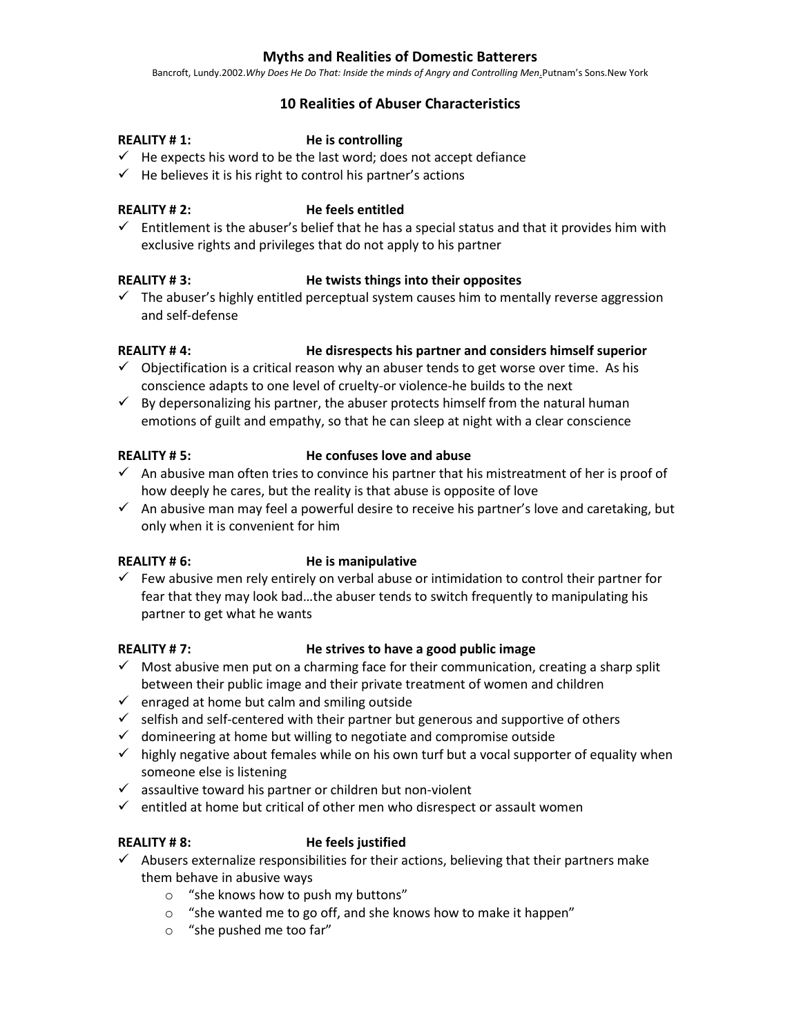# **Myths and Realities of Domestic Batterers**

Bancroft, Lundy.2002.*Why Does He Do That: Inside the minds of Angry and Controlling Men*.Putnam's Sons.New York

# **10 Realities of Abuser Characteristics**

### **REALITY # 1: He is controlling**

- $\checkmark$  He expects his word to be the last word; does not accept defiance
- $\checkmark$  He believes it is his right to control his partner's actions

### **REALITY # 2: He feels entitled**

 $\checkmark$  Entitlement is the abuser's belief that he has a special status and that it provides him with exclusive rights and privileges that do not apply to his partner

### **REALITY # 3: He twists things into their opposites**

 $\checkmark$  The abuser's highly entitled perceptual system causes him to mentally reverse aggression and self-defense

# **REALITY # 4: He disrespects his partner and considers himself superior**

- $\checkmark$  Objectification is a critical reason why an abuser tends to get worse over time. As his conscience adapts to one level of cruelty-or violence-he builds to the next
- $\checkmark$  By depersonalizing his partner, the abuser protects himself from the natural human emotions of guilt and empathy, so that he can sleep at night with a clear conscience

### **REALITY # 5: He confuses love and abuse**

- $\checkmark$  An abusive man often tries to convince his partner that his mistreatment of her is proof of how deeply he cares, but the reality is that abuse is opposite of love
- $\checkmark$  An abusive man may feel a powerful desire to receive his partner's love and caretaking, but only when it is convenient for him

### **REALITY # 6: He is manipulative**

 $\checkmark$  Few abusive men rely entirely on verbal abuse or intimidation to control their partner for fear that they may look bad…the abuser tends to switch frequently to manipulating his partner to get what he wants

### **REALITY # 7: He strives to have a good public image**

- $\checkmark$  Most abusive men put on a charming face for their communication, creating a sharp split between their public image and their private treatment of women and children
- $\checkmark$  enraged at home but calm and smiling outside
- $\checkmark$  selfish and self-centered with their partner but generous and supportive of others
- $\checkmark$  domineering at home but willing to negotiate and compromise outside
- $\checkmark$  highly negative about females while on his own turf but a vocal supporter of equality when someone else is listening
- $\checkmark$  assaultive toward his partner or children but non-violent
- $\checkmark$  entitled at home but critical of other men who disrespect or assault women

# **REALITY # 8: He feels justified**

- $\checkmark$  Abusers externalize responsibilities for their actions, believing that their partners make them behave in abusive ways
	- o "she knows how to push my buttons"
	- o "she wanted me to go off, and she knows how to make it happen"
	- o "she pushed me too far"